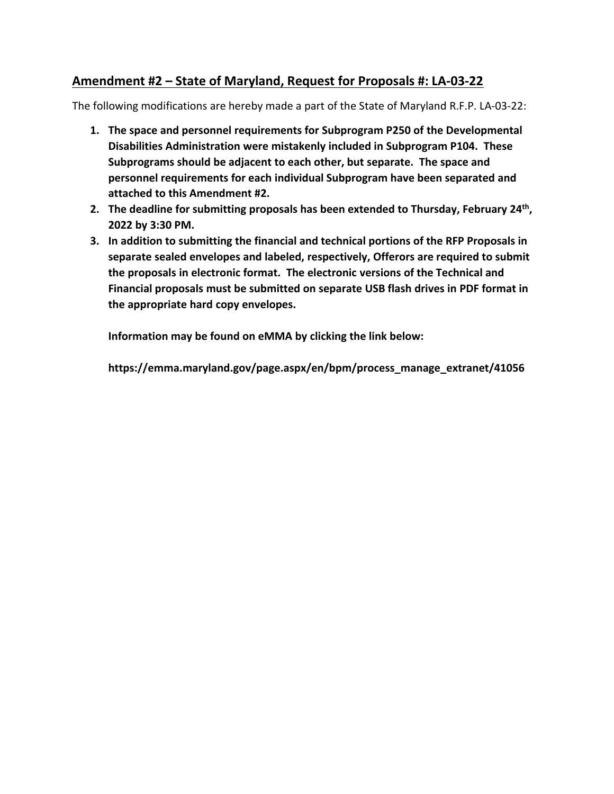## Amendment #2 – State of Maryland, Request for Proposals #: LA-03-22

The following modifications are hereby made a part of the State of Maryland R.F.P. LA-03-22:

- **1.** The space and personnel requirements for Subprogram P250 of the Developmental Disabilities Administration were mistakenly included in Subprogram P104. These Subprograms should be adjacent to each other, but separate. The space and personnel requirements for each individual Subprogram have been separated and attached to this Amendment #2.
- 2. The deadline for submitting proposals has been extended to Thursday, February 24<sup>th</sup>, 2022 by 3:30 PM.
- **3.** In addition to submitting the financial and technical portions of the RFP Proposals in separate sealed envelopes and labeled, respectively, Offerors are required to submit the proposals in electronic format. The electronic versions of the Technical and Financial proposals must be submitted on separate USB flash drives in PDF format in the appropriate hard copy envelopes.

**Information may be found on eMMA by clicking the link below:**

**[https://emma.maryland.gov/page.aspx/en/bpm/process\\_manage\\_extranet/41056](https://emma.maryland.gov/page.aspx/en/bpm/process_manage_extranet/41056)**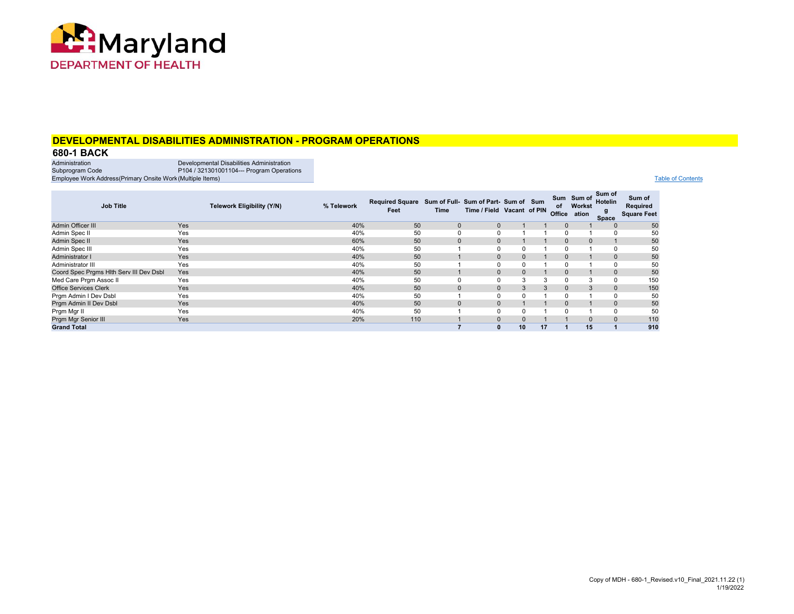

## **DEVELOPMENTAL DISABILITIES ADMINISTRATION - PROGRAM OPERATIONS**

## **680-1 BACK**

| Administration                                              | Developmental Disabilities Administration |  |  |  |  |  |  |  |
|-------------------------------------------------------------|-------------------------------------------|--|--|--|--|--|--|--|
| Subprogram Code                                             | P104 / 321301001104--- Program Operations |  |  |  |  |  |  |  |
| Employee Work Address (Primary Onsite Work (Multiple Items) |                                           |  |  |  |  |  |  |  |

Table of Contents

| <b>Job Title</b>                        |     | <b>Telework Eligibility (Y/N)</b> | % Telework | Required Square Sum of Full- Sum of Part- Sum of Sum<br>Feet | Time         | Time / Field Vacant of PIN |              |    | Sum<br>of<br>Office | Sum of<br><b>Workst</b><br>ation | Sum of<br><b>Hotelin</b><br>g<br>Space | Sum of<br>Required<br><b>Square Feet</b> |
|-----------------------------------------|-----|-----------------------------------|------------|--------------------------------------------------------------|--------------|----------------------------|--------------|----|---------------------|----------------------------------|----------------------------------------|------------------------------------------|
| Admin Officer III                       | Yes |                                   | 40%        | 50                                                           | $\mathbf{0}$ | $\mathbf{0}$               |              |    | $\mathbf{0}$        |                                  | $\mathbf{0}$                           | 50                                       |
| Admin Spec II                           | Yes |                                   | 40%        | 50                                                           | $\mathbf 0$  |                            |              |    | 0                   |                                  | $\Omega$                               | 50                                       |
| <b>Admin Spec II</b>                    | Yes |                                   | 60%        | 50                                                           | $\mathbf{0}$ | $\Omega$                   |              |    | $\Omega$            | $\Omega$                         |                                        | 50                                       |
| Admin Spec III                          | Yes |                                   | 40%        | 50                                                           |              |                            |              |    | $\Omega$            |                                  | 0                                      | 50                                       |
| <b>Administrator I</b>                  | Yes |                                   | 40%        | 50                                                           |              | $\mathbf{0}$               | $\mathbf{0}$ |    | $\mathbf{0}$        |                                  | $\mathbf{0}$                           | 50                                       |
| Administrator III                       | Yes |                                   | 40%        | 50                                                           |              |                            |              |    | 0                   |                                  | 0                                      | 50                                       |
| Coord Spec Prgms Hith Serv III Dev Dsbl | Yes |                                   | 40%        | 50                                                           |              | $\mathbf{0}$               | $\mathbf{0}$ |    | $\mathbf{0}$        |                                  | $\mathbf{0}$                           | 50                                       |
| Med Care Prgm Assoc II                  | Yes |                                   | 40%        | 50                                                           | $\Omega$     |                            | 3            | 3  | 0                   | 3                                | $\Omega$                               | 150                                      |
| <b>Office Services Clerk</b>            | Yes |                                   | 40%        | 50                                                           | $\mathbf{0}$ | $\mathbf{0}$               | 3            | 3  | $\mathbf{0}$        | 3                                | $\mathbf{0}$                           | 150                                      |
| Prgm Admin I Dev Dsbl                   | Yes |                                   | 40%        | 50                                                           |              |                            |              |    | $\Omega$            |                                  | $\Omega$                               | 50                                       |
| Prgm Admin II Dev Dsbl                  | Yes |                                   | 40%        | 50                                                           | $\mathbf{0}$ | $\Omega$                   |              |    | $\mathbf{0}$        |                                  | $\mathbf{0}$                           | 50                                       |
| Prgm Mgr II                             | Yes |                                   | 40%        | 50                                                           |              |                            |              |    | $\Omega$            |                                  | 0                                      | 50                                       |
| Prgm Mgr Senior III                     | Yes |                                   | 20%        | 110                                                          |              |                            |              |    |                     | $\Omega$                         | $\Omega$                               | 110                                      |
| <b>Grand Total</b>                      |     |                                   |            |                                                              |              | $\mathbf{0}$               | 10           | 17 |                     | 15                               |                                        | 910                                      |